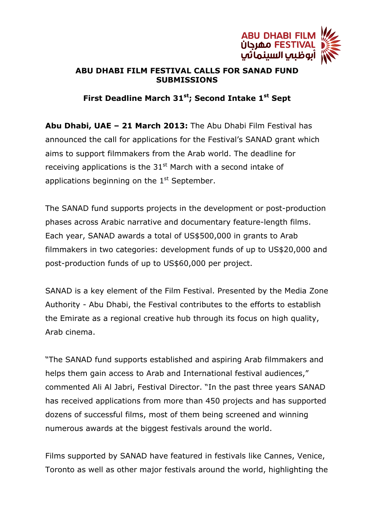

## **ABU DHABI FILM FESTIVAL CALLS FOR SANAD FUND SUBMISSIONS**

## **First Deadline March 31st; Second Intake 1st Sept**

**Abu Dhabi, UAE – 21 March 2013:** The Abu Dhabi Film Festival has announced the call for applications for the Festival's SANAD grant which aims to support filmmakers from the Arab world. The deadline for receiving applications is the  $31<sup>st</sup>$  March with a second intake of applications beginning on the  $1<sup>st</sup>$  September.

The SANAD fund supports projects in the development or post-production phases across Arabic narrative and documentary feature-length films. Each year, SANAD awards a total of US\$500,000 in grants to Arab filmmakers in two categories: development funds of up to US\$20,000 and post-production funds of up to US\$60,000 per project.

SANAD is a key element of the Film Festival. Presented by the Media Zone Authority - Abu Dhabi, the Festival contributes to the efforts to establish the Emirate as a regional creative hub through its focus on high quality, Arab cinema.

"The SANAD fund supports established and aspiring Arab filmmakers and helps them gain access to Arab and International festival audiences," commented Ali Al Jabri, Festival Director. "In the past three years SANAD has received applications from more than 450 projects and has supported dozens of successful films, most of them being screened and winning numerous awards at the biggest festivals around the world.

Films supported by SANAD have featured in festivals like Cannes, Venice, Toronto as well as other major festivals around the world, highlighting the